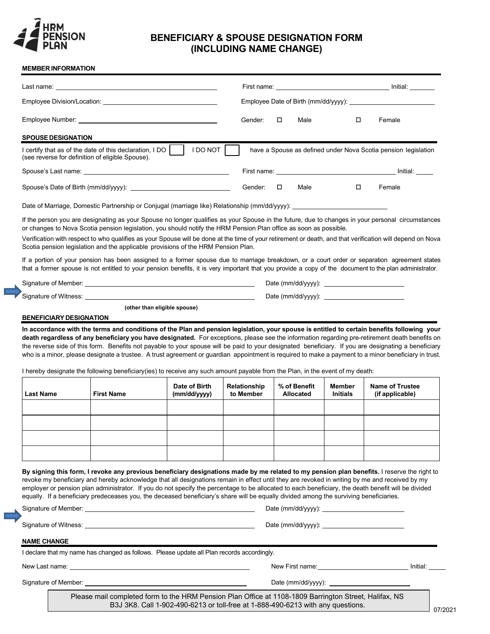

## **BENEFICIARY & SPOUSE DESIGNATION FORM (INCLUDING NAME CHANGE)**

## **MEMBER INFORMATION**

|                                        | Last name:                                                                                                                                                                                                                                                                                                                                                                                                                                                                                                                                                                                                     |                              |              |                  |                 | Initial: <b>Alice Structure</b>                                |
|----------------------------------------|----------------------------------------------------------------------------------------------------------------------------------------------------------------------------------------------------------------------------------------------------------------------------------------------------------------------------------------------------------------------------------------------------------------------------------------------------------------------------------------------------------------------------------------------------------------------------------------------------------------|------------------------------|--------------|------------------|-----------------|----------------------------------------------------------------|
|                                        |                                                                                                                                                                                                                                                                                                                                                                                                                                                                                                                                                                                                                |                              |              |                  |                 |                                                                |
|                                        |                                                                                                                                                                                                                                                                                                                                                                                                                                                                                                                                                                                                                |                              | Gender:      | Male<br>$\Box$   | Π.              | Female                                                         |
| <b>SPOUSE DESIGNATION</b>              |                                                                                                                                                                                                                                                                                                                                                                                                                                                                                                                                                                                                                |                              |              |                  |                 |                                                                |
|                                        | I certify that as of the date of this declaration, I DO  <br>(see reverse for definition of eligible Spouse).                                                                                                                                                                                                                                                                                                                                                                                                                                                                                                  | <b>I DO NOT</b>              |              |                  |                 | have a Spouse as defined under Nova Scotia pension legislation |
|                                        |                                                                                                                                                                                                                                                                                                                                                                                                                                                                                                                                                                                                                |                              |              |                  |                 |                                                                |
|                                        |                                                                                                                                                                                                                                                                                                                                                                                                                                                                                                                                                                                                                |                              | Gender:      | Male<br>$\Box$   | 0               | Female                                                         |
|                                        | Date of Marriage, Domestic Partnership or Conjugal (marriage like) Relationship (mm/dd/yyyy): ________________                                                                                                                                                                                                                                                                                                                                                                                                                                                                                                 |                              |              |                  |                 |                                                                |
|                                        | If the person you are designating as your Spouse no longer qualifies as your Spouse in the future, due to changes in your personal  circumstances<br>or changes to Nova Scotia pension legislation, you should notify the HRM Pension Plan office as soon as possible.                                                                                                                                                                                                                                                                                                                                         |                              |              |                  |                 |                                                                |
|                                        | Verification with respect to who qualifies as your Spouse will be done at the time of your retirement or death, and that verification will depend on Nova<br>Scotia pension legislation and the applicable provisions of the HRM Pension Plan.                                                                                                                                                                                                                                                                                                                                                                 |                              |              |                  |                 |                                                                |
|                                        | If a portion of your pension has been assigned to a former spouse due to marriage breakdown, or a court order or separation agreement states<br>that a former spouse is not entitled to your pension benefits, it is very important that you provide a copy of the document to the plan administrator.                                                                                                                                                                                                                                                                                                         |                              |              |                  |                 |                                                                |
|                                        |                                                                                                                                                                                                                                                                                                                                                                                                                                                                                                                                                                                                                |                              |              |                  |                 |                                                                |
|                                        |                                                                                                                                                                                                                                                                                                                                                                                                                                                                                                                                                                                                                |                              |              |                  |                 |                                                                |
|                                        |                                                                                                                                                                                                                                                                                                                                                                                                                                                                                                                                                                                                                |                              |              |                  |                 |                                                                |
| <b>BENEFICIARY DESIGNATION</b>         | In accordance with the terms and conditions of the Plan and pension legislation, your spouse is entitled to certain benefits following your<br>death regardless of any beneficiary you have designated. For exceptions, please see the information regarding pre-retirement death benefits on<br>the reverse side of this form. Benefits not payable to your spouse will be paid to your designated beneficiary. If you are designating a beneficiary<br>who is a minor, please designate a trustee. A trust agreement or guardian  appointment is required to make a payment to a minor beneficiary in trust. | (other than eligible spouse) |              |                  |                 |                                                                |
|                                        | I hereby designate the following beneficiary(ies) to receive any such amount payable from the Plan, in the event of my death:                                                                                                                                                                                                                                                                                                                                                                                                                                                                                  | Date of Birth                | Relationship | % of Benefit     | Member          | <b>Name of Trustee</b>                                         |
|                                        | <b>First Name</b>                                                                                                                                                                                                                                                                                                                                                                                                                                                                                                                                                                                              | (mm/dd/yyyy)                 | to Member    | <b>Allocated</b> | <b>Initials</b> | (if applicable)                                                |
|                                        |                                                                                                                                                                                                                                                                                                                                                                                                                                                                                                                                                                                                                |                              |              |                  |                 |                                                                |
|                                        |                                                                                                                                                                                                                                                                                                                                                                                                                                                                                                                                                                                                                |                              |              |                  |                 |                                                                |
|                                        |                                                                                                                                                                                                                                                                                                                                                                                                                                                                                                                                                                                                                |                              |              |                  |                 |                                                                |
|                                        |                                                                                                                                                                                                                                                                                                                                                                                                                                                                                                                                                                                                                |                              |              |                  |                 |                                                                |
|                                        | By signing this form, I revoke any previous beneficiary designations made by me related to my pension plan benefits. I reserve the right to<br>revoke my beneficiary and hereby acknowledge that all designations remain in effect until they are revoked in writing by me and received by my<br>employer or pension plan administrator. If you do not specify the percentage to be allocated to each beneficiary, the death benefit will be divided<br>equally. If a beneficiary predeceases you, the deceased beneficiary's share will be equally divided among the surviving beneficiaries.                 |                              |              |                  |                 |                                                                |
|                                        |                                                                                                                                                                                                                                                                                                                                                                                                                                                                                                                                                                                                                |                              |              |                  |                 |                                                                |
|                                        |                                                                                                                                                                                                                                                                                                                                                                                                                                                                                                                                                                                                                |                              |              |                  |                 |                                                                |
|                                        |                                                                                                                                                                                                                                                                                                                                                                                                                                                                                                                                                                                                                |                              |              |                  |                 |                                                                |
|                                        | I declare that my name has changed as follows. Please update all Plan records accordingly.                                                                                                                                                                                                                                                                                                                                                                                                                                                                                                                     |                              |              |                  |                 |                                                                |
| <b>Last Name</b><br><b>NAME CHANGE</b> |                                                                                                                                                                                                                                                                                                                                                                                                                                                                                                                                                                                                                |                              |              |                  |                 |                                                                |